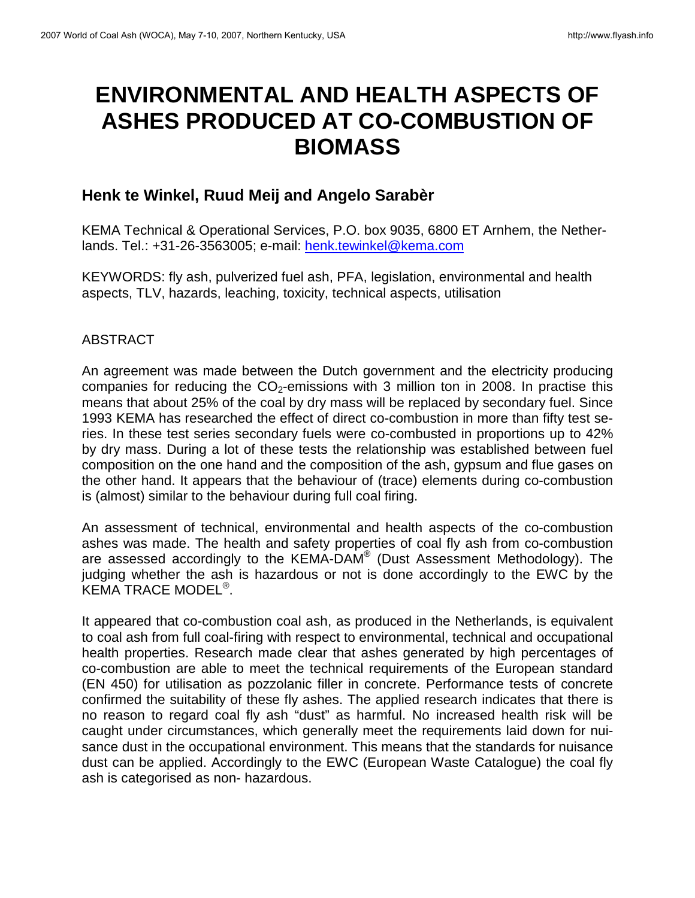# **ENVIRONMENTAL AND HEALTH ASPECTS OF ASHES PRODUCED AT CO-COMBUSTION OF BIOMASS**

# **Henk te Winkel, Ruud Meij and Angelo Sarabèr**

KEMA Technical & Operational Services, P.O. box 9035, 6800 ET Arnhem, the Netherlands. Tel.: +31-26-3563005; e-mail: henk.tewinkel@kema.com

KEYWORDS: fly ash, pulverized fuel ash, PFA, legislation, environmental and health aspects, TLV, hazards, leaching, toxicity, technical aspects, utilisation

# ABSTRACT

An agreement was made between the Dutch government and the electricity producing companies for reducing the  $CO<sub>2</sub>$ -emissions with 3 million ton in 2008. In practise this means that about 25% of the coal by dry mass will be replaced by secondary fuel. Since 1993 KEMA has researched the effect of direct co-combustion in more than fifty test series. In these test series secondary fuels were co-combusted in proportions up to 42% by dry mass. During a lot of these tests the relationship was established between fuel composition on the one hand and the composition of the ash, gypsum and flue gases on the other hand. It appears that the behaviour of (trace) elements during co-combustion is (almost) similar to the behaviour during full coal firing.

An assessment of technical, environmental and health aspects of the co-combustion ashes was made. The health and safety properties of coal fly ash from co-combustion are assessed accordingly to the KEMA-DAM<sup>®</sup> (Dust Assessment Methodology). The judging whether the ash is hazardous or not is done accordingly to the EWC by the KEMA TRACE MODEL® .

It appeared that co-combustion coal ash, as produced in the Netherlands, is equivalent to coal ash from full coal-firing with respect to environmental, technical and occupational health properties. Research made clear that ashes generated by high percentages of co-combustion are able to meet the technical requirements of the European standard (EN 450) for utilisation as pozzolanic filler in concrete. Performance tests of concrete confirmed the suitability of these fly ashes. The applied research indicates that there is no reason to regard coal fly ash "dust" as harmful. No increased health risk will be caught under circumstances, which generally meet the requirements laid down for nuisance dust in the occupational environment. This means that the standards for nuisance dust can be applied. Accordingly to the EWC (European Waste Catalogue) the coal fly ash is categorised as non- hazardous.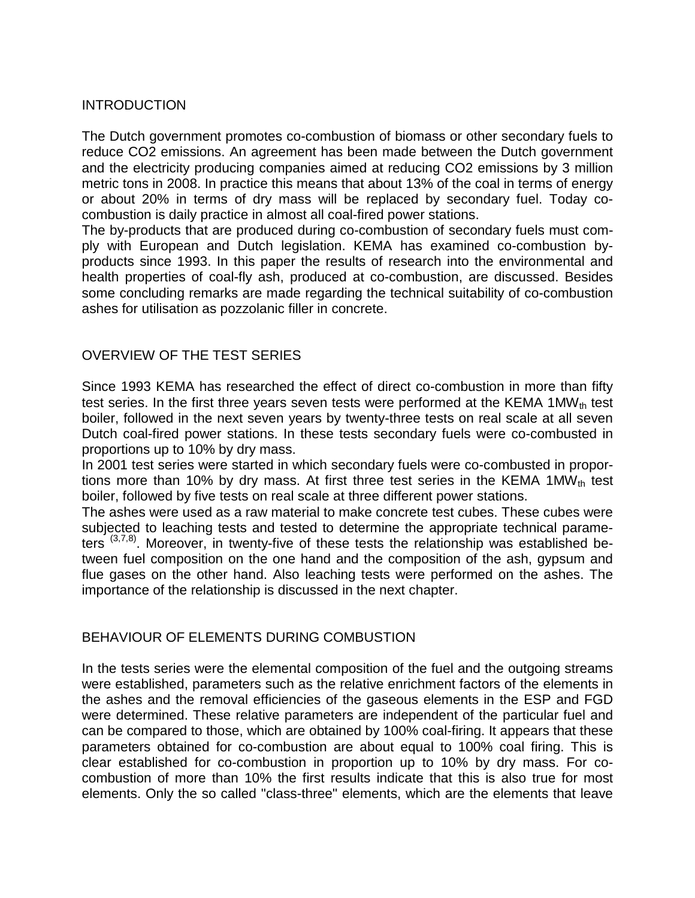# INTRODUCTION

The Dutch government promotes co-combustion of biomass or other secondary fuels to reduce CO2 emissions. An agreement has been made between the Dutch government and the electricity producing companies aimed at reducing CO2 emissions by 3 million metric tons in 2008. In practice this means that about 13% of the coal in terms of energy or about 20% in terms of dry mass will be replaced by secondary fuel. Today cocombustion is daily practice in almost all coal-fired power stations.

The by-products that are produced during co-combustion of secondary fuels must comply with European and Dutch legislation. KEMA has examined co-combustion byproducts since 1993. In this paper the results of research into the environmental and health properties of coal-fly ash, produced at co-combustion, are discussed. Besides some concluding remarks are made regarding the technical suitability of co-combustion ashes for utilisation as pozzolanic filler in concrete.

# OVERVIEW OF THE TEST SERIES

Since 1993 KEMA has researched the effect of direct co-combustion in more than fifty test series. In the first three years seven tests were performed at the KEMA 1MW<sub>th</sub> test boiler, followed in the next seven years by twenty-three tests on real scale at all seven Dutch coal-fired power stations. In these tests secondary fuels were co-combusted in proportions up to 10% by dry mass.

In 2001 test series were started in which secondary fuels were co-combusted in proportions more than 10% by dry mass. At first three test series in the KEMA 1MW<sup>th</sup> test boiler, followed by five tests on real scale at three different power stations.

The ashes were used as a raw material to make concrete test cubes. These cubes were subjected to leaching tests and tested to determine the appropriate technical parameters  $(3,7,8)$ . Moreover, in twenty-five of these tests the relationship was established between fuel composition on the one hand and the composition of the ash, gypsum and flue gases on the other hand. Also leaching tests were performed on the ashes. The importance of the relationship is discussed in the next chapter.

# BEHAVIOUR OF ELEMENTS DURING COMBUSTION

In the tests series were the elemental composition of the fuel and the outgoing streams were established, parameters such as the relative enrichment factors of the elements in the ashes and the removal efficiencies of the gaseous elements in the ESP and FGD were determined. These relative parameters are independent of the particular fuel and can be compared to those, which are obtained by 100% coal-firing. It appears that these parameters obtained for co-combustion are about equal to 100% coal firing. This is clear established for co-combustion in proportion up to 10% by dry mass. For cocombustion of more than 10% the first results indicate that this is also true for most elements. Only the so called "class-three" elements, which are the elements that leave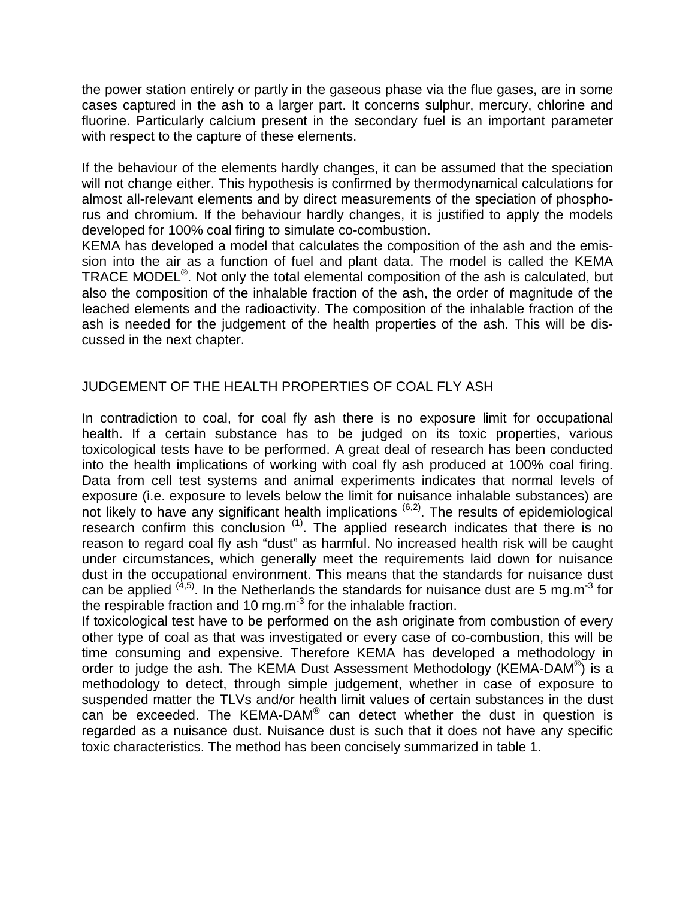the power station entirely or partly in the gaseous phase via the flue gases, are in some cases captured in the ash to a larger part. It concerns sulphur, mercury, chlorine and fluorine. Particularly calcium present in the secondary fuel is an important parameter with respect to the capture of these elements.

If the behaviour of the elements hardly changes, it can be assumed that the speciation will not change either. This hypothesis is confirmed by thermodynamical calculations for almost all-relevant elements and by direct measurements of the speciation of phosphorus and chromium. If the behaviour hardly changes, it is justified to apply the models developed for 100% coal firing to simulate co-combustion.

KEMA has developed a model that calculates the composition of the ash and the emission into the air as a function of fuel and plant data. The model is called the KEMA TRACE MODEL<sup>®</sup>. Not only the total elemental composition of the ash is calculated, but also the composition of the inhalable fraction of the ash, the order of magnitude of the leached elements and the radioactivity. The composition of the inhalable fraction of the ash is needed for the judgement of the health properties of the ash. This will be discussed in the next chapter.

# JUDGEMENT OF THE HEALTH PROPERTIES OF COAL FLY ASH

In contradiction to coal, for coal fly ash there is no exposure limit for occupational health. If a certain substance has to be judged on its toxic properties, various toxicological tests have to be performed. A great deal of research has been conducted into the health implications of working with coal fly ash produced at 100% coal firing. Data from cell test systems and animal experiments indicates that normal levels of exposure (i.e. exposure to levels below the limit for nuisance inhalable substances) are not likely to have any significant health implications <sup>(6,2)</sup>. The results of epidemiological research confirm this conclusion <sup>(1)</sup>. The applied research indicates that there is no reason to regard coal fly ash "dust" as harmful. No increased health risk will be caught under circumstances, which generally meet the requirements laid down for nuisance dust in the occupational environment. This means that the standards for nuisance dust can be applied  $(4,5)$ . In the Netherlands the standards for nuisance dust are 5 mg.m<sup>-3</sup> for the respirable fraction and 10 mg.m<sup>-3</sup> for the inhalable fraction.

If toxicological test have to be performed on the ash originate from combustion of every other type of coal as that was investigated or every case of co-combustion, this will be time consuming and expensive. Therefore KEMA has developed a methodology in order to judge the ash. The KEMA Dust Assessment Methodology (KEMA-DAM®) is a methodology to detect, through simple judgement, whether in case of exposure to suspended matter the TLVs and/or health limit values of certain substances in the dust can be exceeded. The KEMA-DAM $^{\circ}$  can detect whether the dust in question is regarded as a nuisance dust. Nuisance dust is such that it does not have any specific toxic characteristics. The method has been concisely summarized in table 1.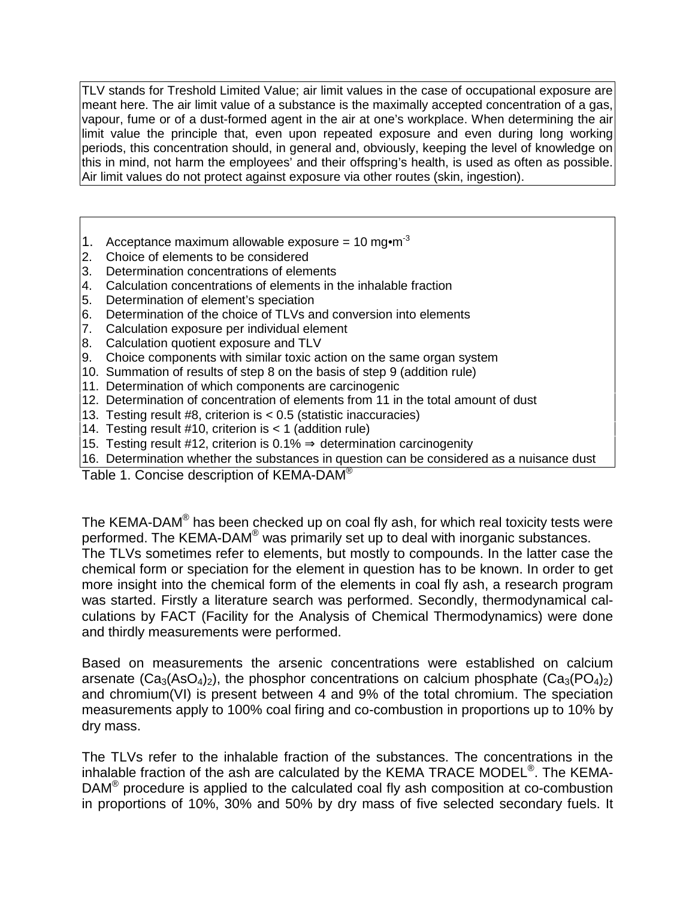TLV stands for Treshold Limited Value; air limit values in the case of occupational exposure are meant here. The air limit value of a substance is the maximally accepted concentration of a gas, vapour, fume or of a dust-formed agent in the air at one's workplace. When determining the air limit value the principle that, even upon repeated exposure and even during long working periods, this concentration should, in general and, obviously, keeping the level of knowledge on this in mind, not harm the employees' and their offspring's health, is used as often as possible. Air limit values do not protect against exposure via other routes (skin, ingestion).

- 1. Acceptance maximum allowable exposure =  $10 \text{ m}$ q $\text{m}$ <sup>-3</sup>
- 2. Choice of elements to be considered
- 3. Determination concentrations of elements
- 4. Calculation concentrations of elements in the inhalable fraction
- 5. Determination of element's speciation
- 6. Determination of the choice of TLVs and conversion into elements
- 7. Calculation exposure per individual element
- 8. Calculation quotient exposure and TLV
- 9. Choice components with similar toxic action on the same organ system
- 10. Summation of results of step 8 on the basis of step 9 (addition rule)
- 11. Determination of which components are carcinogenic
- 12. Determination of concentration of elements from 11 in the total amount of dust
- 13. Testing result #8, criterion is < 0.5 (statistic inaccuracies)
- 14. Testing result #10, criterion is < 1 (addition rule)
- 15. Testing result #12, criterion is 0.1%  $\Rightarrow$  determination carcinogenity
- 16. Determination whether the substances in question can be considered as a nuisance dust

Table 1. Concise description of KEMA-DAM<sup>®</sup>

The KEMA-DAM $^\circledast$  has been checked up on coal fly ash, for which real toxicity tests were performed. The KEMA-DAM® was primarily set up to deal with inorganic substances. The TLVs sometimes refer to elements, but mostly to compounds. In the latter case the chemical form or speciation for the element in question has to be known. In order to get more insight into the chemical form of the elements in coal fly ash, a research program was started. Firstly a literature search was performed. Secondly, thermodynamical calculations by FACT (Facility for the Analysis of Chemical Thermodynamics) were done and thirdly measurements were performed.

Based on measurements the arsenic concentrations were established on calcium arsenate  $(Ca_3(AsO_4)_2)$ , the phosphor concentrations on calcium phosphate  $(Ca_3(PO_4)_2)$ and chromium(VI) is present between 4 and 9% of the total chromium. The speciation measurements apply to 100% coal firing and co-combustion in proportions up to 10% by dry mass.

The TLVs refer to the inhalable fraction of the substances. The concentrations in the inhalable fraction of the ash are calculated by the KEMA TRACE MODEL $^{\circ}$ . The KEMA-DAM $^{\circledR}$  procedure is applied to the calculated coal fly ash composition at co-combustion in proportions of 10%, 30% and 50% by dry mass of five selected secondary fuels. It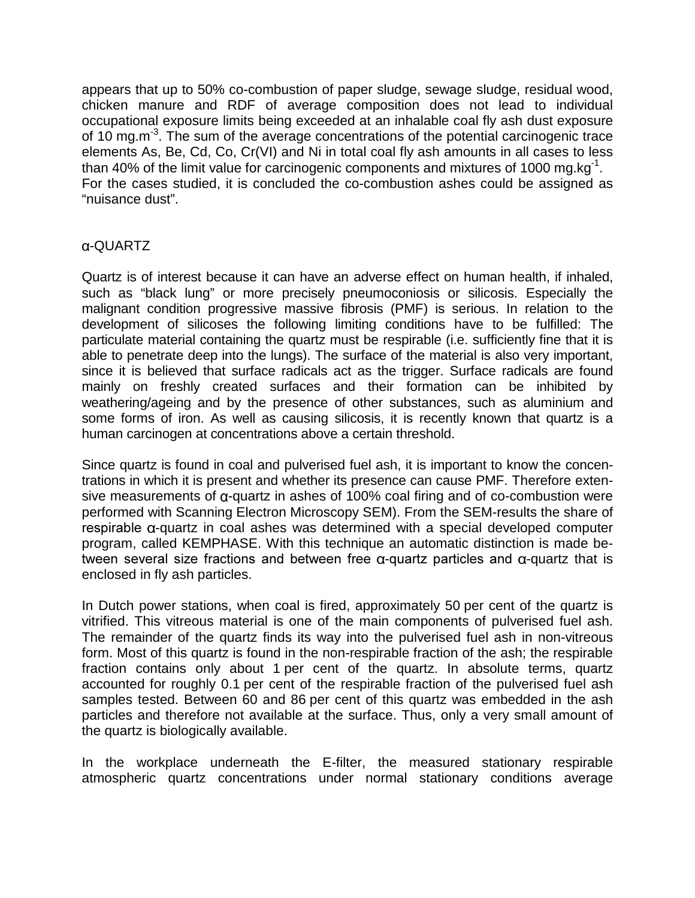appears that up to 50% co-combustion of paper sludge, sewage sludge, residual wood, chicken manure and RDF of average composition does not lead to individual occupational exposure limits being exceeded at an inhalable coal fly ash dust exposure of 10 mg.m<sup>-3</sup>. The sum of the average concentrations of the potential carcinogenic trace elements As, Be, Cd, Co, Cr(VI) and Ni in total coal fly ash amounts in all cases to less than 40% of the limit value for carcinogenic components and mixtures of 1000 mg.kg<sup>-1</sup>. For the cases studied, it is concluded the co-combustion ashes could be assigned as "nuisance dust".

# -QUARTZ

Quartz is of interest because it can have an adverse effect on human health, if inhaled, such as "black lung" or more precisely pneumoconiosis or silicosis. Especially the malignant condition progressive massive fibrosis (PMF) is serious. In relation to the development of silicoses the following limiting conditions have to be fulfilled: The particulate material containing the quartz must be respirable (i.e. sufficiently fine that it is able to penetrate deep into the lungs). The surface of the material is also very important, since it is believed that surface radicals act as the trigger. Surface radicals are found mainly on freshly created surfaces and their formation can be inhibited by weathering/ageing and by the presence of other substances, such as aluminium and some forms of iron. As well as causing silicosis, it is recently known that quartz is a human carcinogen at concentrations above a certain threshold.

Since quartz is found in coal and pulverised fuel ash, it is important to know the concentrations in which it is present and whether its presence can cause PMF. Therefore extensive measurements of  $\alpha$ -quartz in ashes of 100% coal firing and of co-combustion were performed with Scanning Electron Microscopy SEM). From the SEM-results the share of  $r$ espirable  $\alpha$ -quartz in coal ashes was determined with a special developed computer program, called KEMPHASE. With this technique an automatic distinction is made between several size fractions and between free  $\alpha$ -quartz particles and  $\alpha$ -quartz that is enclosed in fly ash particles.

In Dutch power stations, when coal is fired, approximately 50 per cent of the quartz is vitrified. This vitreous material is one of the main components of pulverised fuel ash. The remainder of the quartz finds its way into the pulverised fuel ash in non-vitreous form. Most of this quartz is found in the non-respirable fraction of the ash; the respirable fraction contains only about 1 per cent of the quartz. In absolute terms, quartz accounted for roughly 0.1 per cent of the respirable fraction of the pulverised fuel ash samples tested. Between 60 and 86 per cent of this quartz was embedded in the ash particles and therefore not available at the surface. Thus, only a very small amount of the quartz is biologically available.

In the workplace underneath the E-filter, the measured stationary respirable atmospheric quartz concentrations under normal stationary conditions average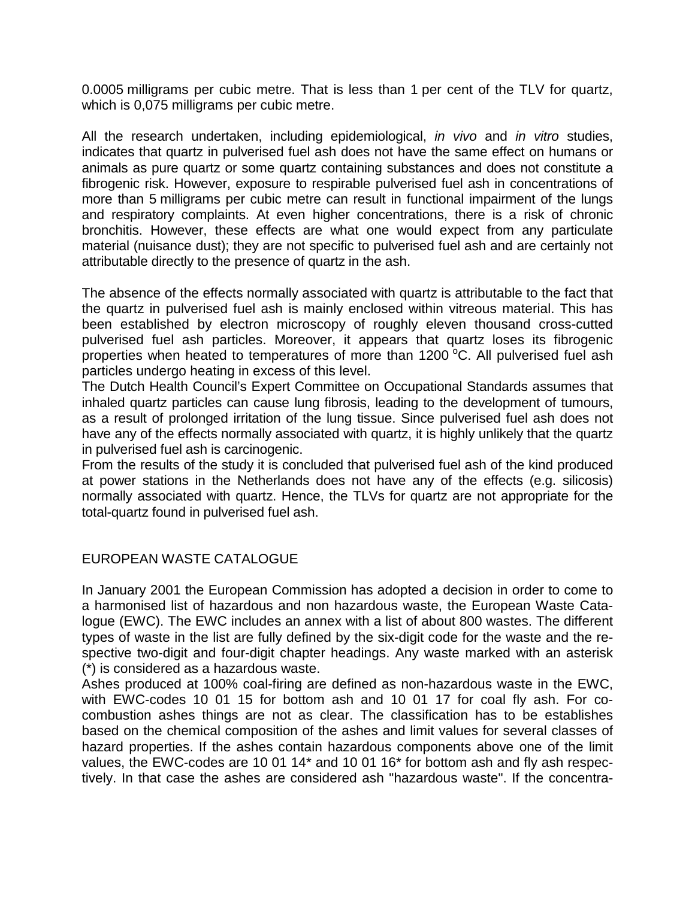0.0005 milligrams per cubic metre. That is less than 1 per cent of the TLV for quartz, which is 0,075 milligrams per cubic metre.

All the research undertaken, including epidemiological, in vivo and in vitro studies, indicates that quartz in pulverised fuel ash does not have the same effect on humans or animals as pure quartz or some quartz containing substances and does not constitute a fibrogenic risk. However, exposure to respirable pulverised fuel ash in concentrations of more than 5 milligrams per cubic metre can result in functional impairment of the lungs and respiratory complaints. At even higher concentrations, there is a risk of chronic bronchitis. However, these effects are what one would expect from any particulate material (nuisance dust); they are not specific to pulverised fuel ash and are certainly not attributable directly to the presence of quartz in the ash.

The absence of the effects normally associated with quartz is attributable to the fact that the quartz in pulverised fuel ash is mainly enclosed within vitreous material. This has been established by electron microscopy of roughly eleven thousand cross-cutted pulverised fuel ash particles. Moreover, it appears that quartz loses its fibrogenic properties when heated to temperatures of more than  $1200\,^{\circ}$ C. All pulverised fuel ash particles undergo heating in excess of this level.

The Dutch Health Council's Expert Committee on Occupational Standards assumes that inhaled quartz particles can cause lung fibrosis, leading to the development of tumours, as a result of prolonged irritation of the lung tissue. Since pulverised fuel ash does not have any of the effects normally associated with quartz, it is highly unlikely that the quartz in pulverised fuel ash is carcinogenic.

From the results of the study it is concluded that pulverised fuel ash of the kind produced at power stations in the Netherlands does not have any of the effects (e.g. silicosis) normally associated with quartz. Hence, the TLVs for quartz are not appropriate for the total-quartz found in pulverised fuel ash.

# EUROPEAN WASTE CATALOGUE

In January 2001 the European Commission has adopted a decision in order to come to a harmonised list of hazardous and non hazardous waste, the European Waste Catalogue (EWC). The EWC includes an annex with a list of about 800 wastes. The different types of waste in the list are fully defined by the six-digit code for the waste and the respective two-digit and four-digit chapter headings. Any waste marked with an asterisk (\*) is considered as a hazardous waste.

Ashes produced at 100% coal-firing are defined as non-hazardous waste in the EWC, with EWC-codes 10 01 15 for bottom ash and 10 01 17 for coal fly ash. For cocombustion ashes things are not as clear. The classification has to be establishes based on the chemical composition of the ashes and limit values for several classes of hazard properties. If the ashes contain hazardous components above one of the limit values, the EWC-codes are 10 01 14\* and 10 01 16\* for bottom ash and fly ash respectively. In that case the ashes are considered ash "hazardous waste". If the concentra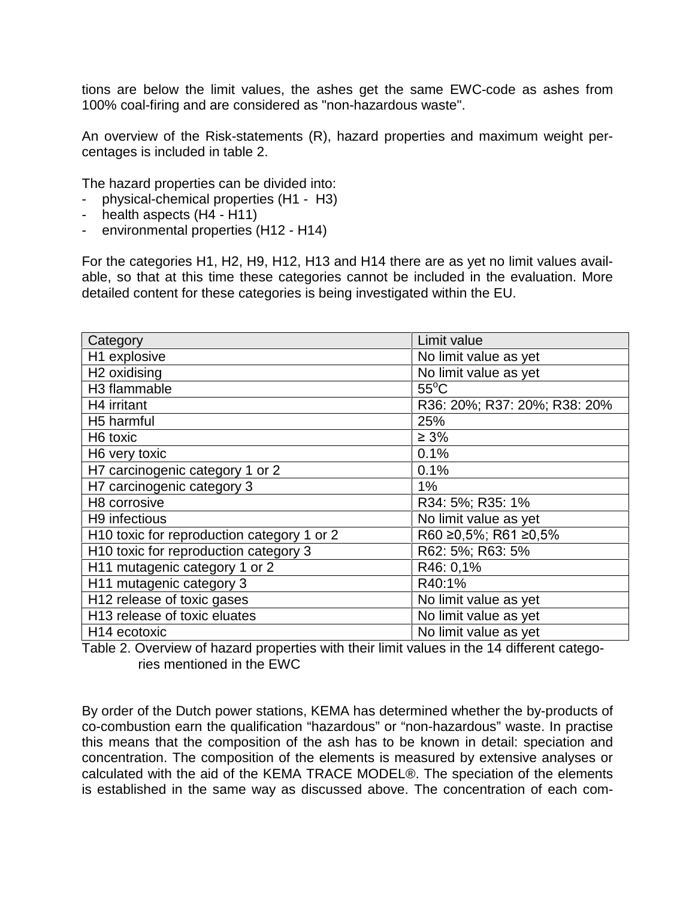tions are below the limit values, the ashes get the same EWC-code as ashes from 100% coal-firing and are considered as "non-hazardous waste".

An overview of the Risk-statements (R), hazard properties and maximum weight percentages is included in table 2.

The hazard properties can be divided into:

- physical-chemical properties (H1 H3)
- health aspects (H4 H11)
- environmental properties (H12 H14)

For the categories H1, H2, H9, H12, H13 and H14 there are as yet no limit values available, so that at this time these categories cannot be included in the evaluation. More detailed content for these categories is being investigated within the EU.

| Category                                   | Limit value                  |
|--------------------------------------------|------------------------------|
| H1 explosive                               | No limit value as yet        |
| H <sub>2</sub> oxidising                   | No limit value as yet        |
| H <sub>3</sub> flammable                   | $55^{\circ}$ C               |
| H4 irritant                                | R36: 20%; R37: 20%; R38: 20% |
| H5 harmful                                 | 25%                          |
| H6 toxic                                   | $\geq 3\%$                   |
| H6 very toxic                              | 0.1%                         |
| H7 carcinogenic category 1 or 2            | 0.1%                         |
| H7 carcinogenic category 3                 | $1\%$                        |
| H8 corrosive                               | R34: 5%; R35: 1%             |
| H <sub>9</sub> infectious                  | No limit value as yet        |
| H10 toxic for reproduction category 1 or 2 | R60 ≥0,5%; R61 ≥0,5%         |
| H10 toxic for reproduction category 3      | R62: 5%; R63: 5%             |
| H11 mutagenic category 1 or 2              | R46: 0,1%                    |
| H11 mutagenic category 3                   | R40:1%                       |
| H12 release of toxic gases                 | No limit value as yet        |
| H13 release of toxic eluates               | No limit value as yet        |
| H <sub>14</sub> ecotoxic                   | No limit value as yet        |

Table 2. Overview of hazard properties with their limit values in the 14 different categories mentioned in the EWC

By order of the Dutch power stations, KEMA has determined whether the by-products of co-combustion earn the qualification "hazardous" or "non-hazardous" waste. In practise this means that the composition of the ash has to be known in detail: speciation and concentration. The composition of the elements is measured by extensive analyses or calculated with the aid of the KEMA TRACE MODEL®. The speciation of the elements is established in the same way as discussed above. The concentration of each com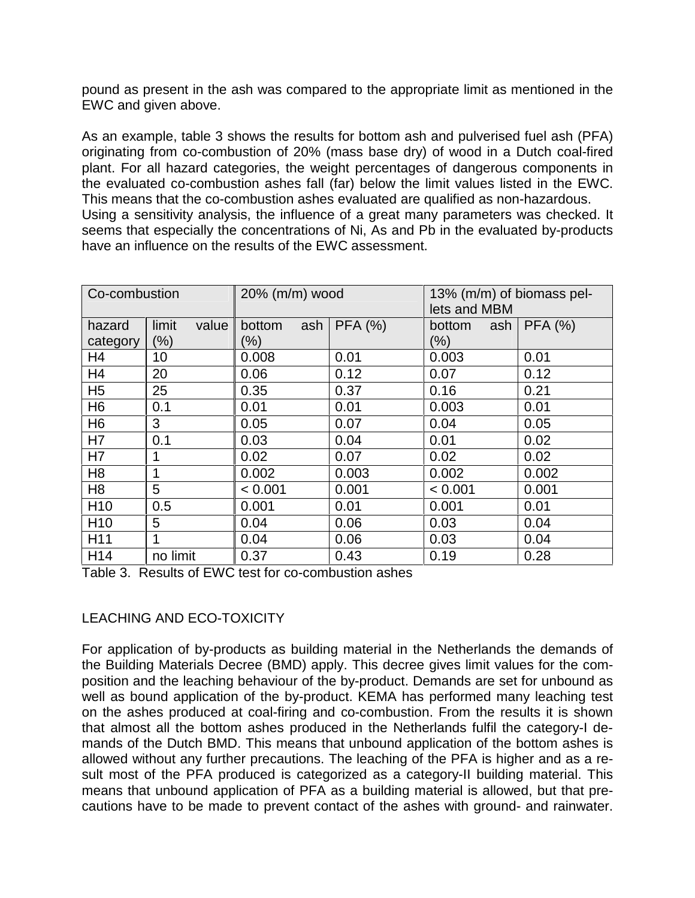pound as present in the ash was compared to the appropriate limit as mentioned in the EWC and given above.

As an example, table 3 shows the results for bottom ash and pulverised fuel ash (PFA) originating from co-combustion of 20% (mass base dry) of wood in a Dutch coal-fired plant. For all hazard categories, the weight percentages of dangerous components in the evaluated co-combustion ashes fall (far) below the limit values listed in the EWC. This means that the co-combustion ashes evaluated are qualified as non-hazardous. Using a sensitivity analysis, the influence of a great many parameters was checked. It seems that especially the concentrations of Ni, As and Pb in the evaluated by-products have an influence on the results of the EWC assessment.

| Co-combustion   |                | 20% (m/m) wood |                | 13% (m/m) of biomass pel-<br>lets and MBM |         |
|-----------------|----------------|----------------|----------------|-------------------------------------------|---------|
| hazard          | limit<br>value | ash<br>bottom  | <b>PFA (%)</b> | bottom<br>ash                             | PFA (%) |
| category        | $(\%)$         | $(\% )$        |                | $(\% )$                                   |         |
| H4              | 10             | 0.008          | 0.01           | 0.003                                     | 0.01    |
| H4              | 20             | 0.06           | 0.12           | 0.07                                      | 0.12    |
| H <sub>5</sub>  | 25             | 0.35           | 0.37           | 0.16                                      | 0.21    |
| H <sub>6</sub>  | 0.1            | 0.01           | 0.01           | 0.003                                     | 0.01    |
| H <sub>6</sub>  | 3              | 0.05           | 0.07           | 0.04                                      | 0.05    |
| H7              | 0.1            | 0.03           | 0.04           | 0.01                                      | 0.02    |
| H7              | 1              | 0.02           | 0.07           | 0.02                                      | 0.02    |
| H <sub>8</sub>  | 1              | 0.002          | 0.003          | 0.002                                     | 0.002   |
| H <sub>8</sub>  | 5              | < 0.001        | 0.001          | < 0.001                                   | 0.001   |
| H <sub>10</sub> | 0.5            | 0.001          | 0.01           | 0.001                                     | 0.01    |
| H <sub>10</sub> | 5              | 0.04           | 0.06           | 0.03                                      | 0.04    |
| H <sub>11</sub> | 1              | 0.04           | 0.06           | 0.03                                      | 0.04    |
| H <sub>14</sub> | no limit       | 0.37           | 0.43           | 0.19                                      | 0.28    |

Table 3. Results of EWC test for co-combustion ashes

# LEACHING AND ECO-TOXICITY

For application of by-products as building material in the Netherlands the demands of the Building Materials Decree (BMD) apply. This decree gives limit values for the composition and the leaching behaviour of the by-product. Demands are set for unbound as well as bound application of the by-product. KEMA has performed many leaching test on the ashes produced at coal-firing and co-combustion. From the results it is shown that almost all the bottom ashes produced in the Netherlands fulfil the category-I demands of the Dutch BMD. This means that unbound application of the bottom ashes is allowed without any further precautions. The leaching of the PFA is higher and as a result most of the PFA produced is categorized as a category-II building material. This means that unbound application of PFA as a building material is allowed, but that precautions have to be made to prevent contact of the ashes with ground- and rainwater.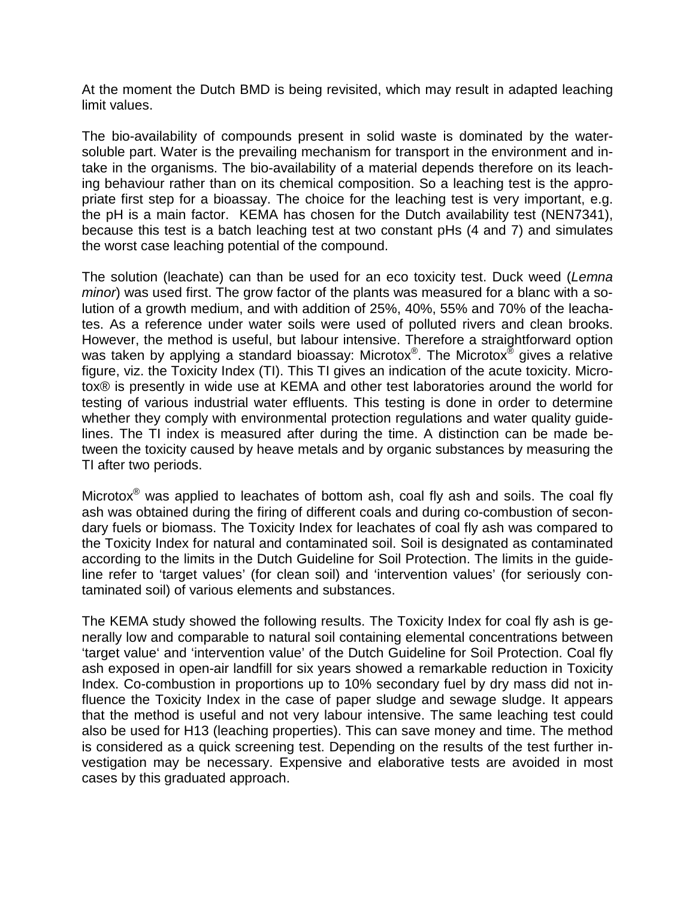At the moment the Dutch BMD is being revisited, which may result in adapted leaching limit values.

The bio-availability of compounds present in solid waste is dominated by the watersoluble part. Water is the prevailing mechanism for transport in the environment and intake in the organisms. The bio-availability of a material depends therefore on its leaching behaviour rather than on its chemical composition. So a leaching test is the appropriate first step for a bioassay. The choice for the leaching test is very important, e.g. the pH is a main factor. KEMA has chosen for the Dutch availability test (NEN7341), because this test is a batch leaching test at two constant pHs (4 and 7) and simulates the worst case leaching potential of the compound.

The solution (leachate) can than be used for an eco toxicity test. Duck weed (Lemna minor) was used first. The grow factor of the plants was measured for a blanc with a solution of a growth medium, and with addition of 25%, 40%, 55% and 70% of the leachates. As a reference under water soils were used of polluted rivers and clean brooks. However, the method is useful, but labour intensive. Therefore a straightforward option was taken by applying a standard bioassay: Microtox $^{\circledR}$ . The Microtox $^{\circledR}$  gives a relative figure, viz. the Toxicity Index (TI). This TI gives an indication of the acute toxicity. Microtox® is presently in wide use at KEMA and other test laboratories around the world for testing of various industrial water effluents. This testing is done in order to determine whether they comply with environmental protection regulations and water quality guidelines. The TI index is measured after during the time. A distinction can be made between the toxicity caused by heave metals and by organic substances by measuring the TI after two periods.

Microtox $^{\circledast}$  was applied to leachates of bottom ash, coal fly ash and soils. The coal fly ash was obtained during the firing of different coals and during co-combustion of secondary fuels or biomass. The Toxicity Index for leachates of coal fly ash was compared to the Toxicity Index for natural and contaminated soil. Soil is designated as contaminated according to the limits in the Dutch Guideline for Soil Protection. The limits in the guideline refer to 'target values' (for clean soil) and 'intervention values' (for seriously contaminated soil) of various elements and substances.

The KEMA study showed the following results. The Toxicity Index for coal fly ash is generally low and comparable to natural soil containing elemental concentrations between 'target value' and 'intervention value' of the Dutch Guideline for Soil Protection. Coal fly ash exposed in open-air landfill for six years showed a remarkable reduction in Toxicity Index. Co-combustion in proportions up to 10% secondary fuel by dry mass did not influence the Toxicity Index in the case of paper sludge and sewage sludge. It appears that the method is useful and not very labour intensive. The same leaching test could also be used for H13 (leaching properties). This can save money and time. The method is considered as a quick screening test. Depending on the results of the test further investigation may be necessary. Expensive and elaborative tests are avoided in most cases by this graduated approach.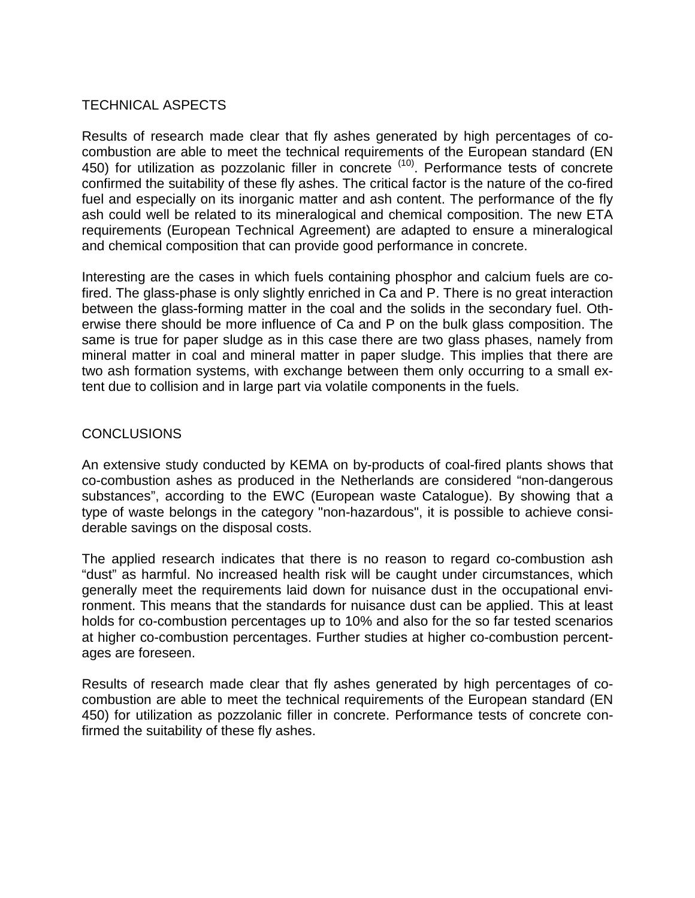# TECHNICAL ASPECTS

Results of research made clear that fly ashes generated by high percentages of cocombustion are able to meet the technical requirements of the European standard (EN 450) for utilization as pozzolanic filler in concrete <sup>(10)</sup>. Performance tests of concrete confirmed the suitability of these fly ashes. The critical factor is the nature of the co-fired fuel and especially on its inorganic matter and ash content. The performance of the fly ash could well be related to its mineralogical and chemical composition. The new ETA requirements (European Technical Agreement) are adapted to ensure a mineralogical and chemical composition that can provide good performance in concrete.

Interesting are the cases in which fuels containing phosphor and calcium fuels are cofired. The glass-phase is only slightly enriched in Ca and P. There is no great interaction between the glass-forming matter in the coal and the solids in the secondary fuel. Otherwise there should be more influence of Ca and P on the bulk glass composition. The same is true for paper sludge as in this case there are two glass phases, namely from mineral matter in coal and mineral matter in paper sludge. This implies that there are two ash formation systems, with exchange between them only occurring to a small extent due to collision and in large part via volatile components in the fuels.

# CONCLUSIONS

An extensive study conducted by KEMA on by-products of coal-fired plants shows that co-combustion ashes as produced in the Netherlands are considered "non-dangerous substances", according to the EWC (European waste Catalogue). By showing that a type of waste belongs in the category "non-hazardous", it is possible to achieve considerable savings on the disposal costs.

The applied research indicates that there is no reason to regard co-combustion ash "dust" as harmful. No increased health risk will be caught under circumstances, which generally meet the requirements laid down for nuisance dust in the occupational environment. This means that the standards for nuisance dust can be applied. This at least holds for co-combustion percentages up to 10% and also for the so far tested scenarios at higher co-combustion percentages. Further studies at higher co-combustion percentages are foreseen.

Results of research made clear that fly ashes generated by high percentages of cocombustion are able to meet the technical requirements of the European standard (EN 450) for utilization as pozzolanic filler in concrete. Performance tests of concrete confirmed the suitability of these fly ashes.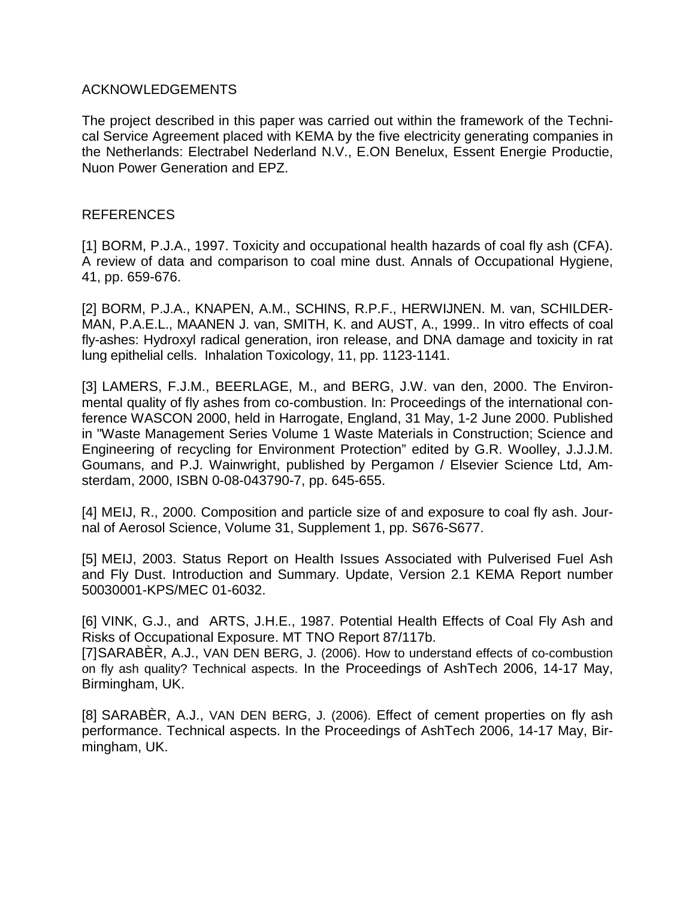#### ACKNOWLEDGEMENTS

The project described in this paper was carried out within the framework of the Technical Service Agreement placed with KEMA by the five electricity generating companies in the Netherlands: Electrabel Nederland N.V., E.ON Benelux, Essent Energie Productie, Nuon Power Generation and EPZ.

#### REFERENCES

[1] BORM, P.J.A., 1997. Toxicity and occupational health hazards of coal fly ash (CFA). A review of data and comparison to coal mine dust. Annals of Occupational Hygiene, 41, pp. 659-676.

[2] BORM, P.J.A., KNAPEN, A.M., SCHINS, R.P.F., HERWIJNEN. M. van, SCHILDER-MAN, P.A.E.L., MAANEN J. van, SMITH, K. and AUST, A., 1999.. In vitro effects of coal fly-ashes: Hydroxyl radical generation, iron release, and DNA damage and toxicity in rat lung epithelial cells. Inhalation Toxicology, 11, pp. 1123-1141.

[3] LAMERS, F.J.M., BEERLAGE, M., and BERG, J.W. van den, 2000. The Environmental quality of fly ashes from co-combustion. In: Proceedings of the international conference WASCON 2000, held in Harrogate, England, 31 May, 1-2 June 2000. Published in "Waste Management Series Volume 1 Waste Materials in Construction; Science and Engineering of recycling for Environment Protection" edited by G.R. Woolley, J.J.J.M. Goumans, and P.J. Wainwright, published by Pergamon / Elsevier Science Ltd, Amsterdam, 2000, ISBN 0-08-043790-7, pp. 645-655.

[4] MEIJ, R., 2000. Composition and particle size of and exposure to coal fly ash. Journal of Aerosol Science, Volume 31, Supplement 1, pp. S676-S677.

[5] MEIJ, 2003. Status Report on Health Issues Associated with Pulverised Fuel Ash and Fly Dust. Introduction and Summary. Update, Version 2.1 KEMA Report number 50030001-KPS/MEC 01-6032.

[6] VINK, G.J., and ARTS, J.H.E., 1987. Potential Health Effects of Coal Fly Ash and Risks of Occupational Exposure. MT TNO Report 87/117b.

[7] SARABÈR, A.J., VAN DEN BERG, J. (2006). How to understand effects of co-combustion on fly ash quality? Technical aspects. In the Proceedings of AshTech 2006, 14-17 May, Birmingham, UK.

[8] SARABÈR, A.J., VAN DEN BERG, J. (2006). Effect of cement properties on fly ash performance. Technical aspects. In the Proceedings of AshTech 2006, 14-17 May, Birmingham, UK.